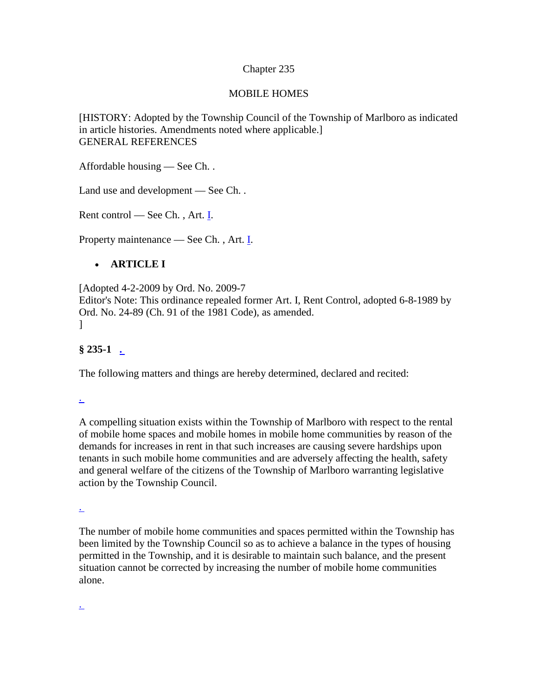#### Chapter 235

#### MOBILE HOMES

[HISTORY: Adopted by the Township Council of the Township of Marlboro as indicated in article histories. Amendments noted where applicable.] GENERAL REFERENCES

Affordable housing — See Ch. [.](http://www.ecode360.com/?custId=MA0373&guid=12873243)

Land use and development — See Ch. [.](http://www.ecode360.com/?custId=MA0373&guid=12875022)

Rent control — See Ch., Art.  $\underline{\mathbf{I}}$ .

Property maintenance — See Ch. [,](http://www.ecode360.com/?custId=MA0373&guid=12880259) Art. [I.](http://www.ecode360.com/?custId=MA0373&guid=12880260)

#### • **ARTICLE I**

[Adopted 4-2-2009 by Ord. No. 2009-7 Editor's Note: This ordinance repealed former Art. I, Rent Control, adopted 6-8-1989 by Ord. No. 24-89 (Ch. 91 of the 1981 Code), as amended. ]

**§ 235-1 [.](http://www.ecode360.com/?custId=MA0373&guid=12879696&j=13)**

The following matters and things are hereby determined, declared and recited:

[.](http://www.ecode360.com/?custId=MA0373&guid=12879697&j=23)

A compelling situation exists within the Township of Marlboro with respect to the rental of mobile home spaces and mobile homes in mobile home communities by reason of the demands for increases in rent in that such increases are causing severe hardships upon tenants in such mobile home communities and are adversely affecting the health, safety and general welfare of the citizens of the Township of Marlboro warranting legislative action by the Township Council.

[.](http://www.ecode360.com/?custId=MA0373&guid=12879698&j=23)

The number of mobile home communities and spaces permitted within the Township has been limited by the Township Council so as to achieve a balance in the types of housing permitted in the Township, and it is desirable to maintain such balance, and the present situation cannot be corrected by increasing the number of mobile home communities alone.

[.](http://www.ecode360.com/?custId=MA0373&guid=12879699&j=23)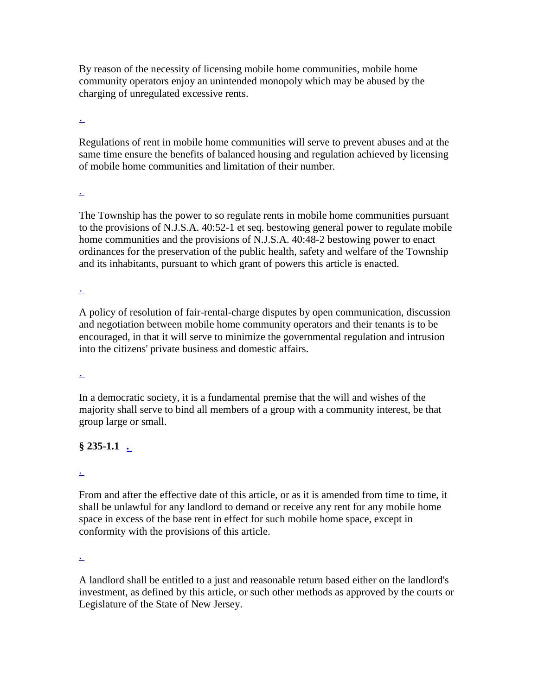By reason of the necessity of licensing mobile home communities, mobile home community operators enjoy an unintended monopoly which may be abused by the charging of unregulated excessive rents.

[.](http://www.ecode360.com/?custId=MA0373&guid=12879700&j=23)

Regulations of rent in mobile home communities will serve to prevent abuses and at the same time ensure the benefits of balanced housing and regulation achieved by licensing of mobile home communities and limitation of their number.

[.](http://www.ecode360.com/?custId=MA0373&guid=12879701&j=23)

The Township has the power to so regulate rents in mobile home communities pursuant to the provisions of N.J.S.A. 40:52-1 et seq. bestowing general power to regulate mobile home communities and the provisions of N.J.S.A. 40:48-2 bestowing power to enact ordinances for the preservation of the public health, safety and welfare of the Township and its inhabitants, pursuant to which grant of powers this article is enacted.

[.](http://www.ecode360.com/?custId=MA0373&guid=12879702&j=23)

A policy of resolution of fair-rental-charge disputes by open communication, discussion and negotiation between mobile home community operators and their tenants is to be encouraged, in that it will serve to minimize the governmental regulation and intrusion into the citizens' private business and domestic affairs.

[.](http://www.ecode360.com/?custId=MA0373&guid=12879703&j=23)

In a democratic society, it is a fundamental premise that the will and wishes of the majority shall serve to bind all members of a group with a community interest, be that group large or small.

# **§ 235-1.1 [.](http://www.ecode360.com/?custId=MA0373&guid=12879704&j=13)**

[.](http://www.ecode360.com/?custId=MA0373&guid=13765714&j=23)

From and after the effective date of this article, or as it is amended from time to time, it shall be unlawful for any landlord to demand or receive any rent for any mobile home space in excess of the base rent in effect for such mobile home space, except in conformity with the provisions of this article.

[.](http://www.ecode360.com/?custId=MA0373&guid=13765715&j=23)

A landlord shall be entitled to a just and reasonable return based either on the landlord's investment, as defined by this article, or such other methods as approved by the courts or Legislature of the State of New Jersey.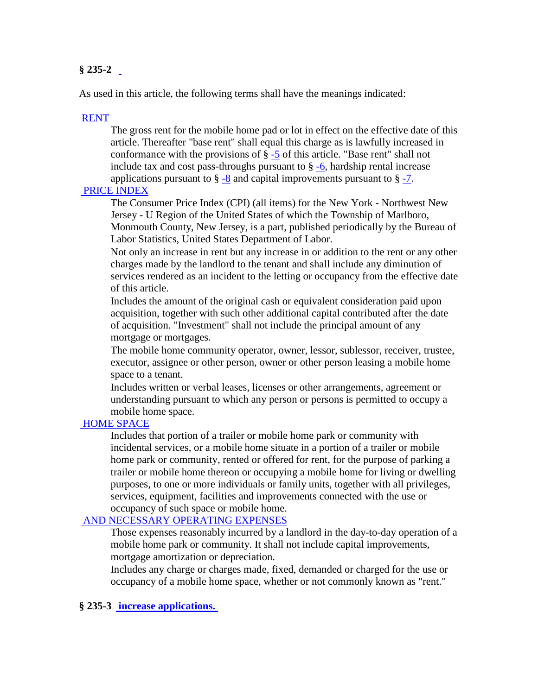## **§ 235-2**

As used in this article, the following terms shall have the meanings indicated:

#### [RENT](http://www.ecode360.com/?custId=MA0373&guid=12879705&j=555)

The gross rent for the mobile home pad or lot in effect on the effective date of this article. Thereafter "base rent" shall equal this charge as is lawfully increased in conformance with the provisions of  $\S$  [-5](http://www.ecode360.com/?custId=MA0373&guid=12879729) of this article. "Base rent" shall not include tax and cost pass-throughs pursuant to  $\S -6$ , hardship rental increase applications pursuant to  $\S -8$  $\S -8$  and capital improvements pursuant to  $\S -7$ .

#### [PRICE INDEX](http://www.ecode360.com/?custId=MA0373&guid=13765716&j=555)

The Consumer Price Index (CPI) (all items) for the New York - Northwest New Jersey - U Region of the United States of which the Township of Marlboro, Monmouth County, New Jersey, is a part, published periodically by the Bureau of Labor Statistics, United States Department of Labor.

Not only an increase in rent but any increase in or addition to the rent or any other charges made by the landlord to the tenant and shall include any diminution of services rendered as an incident to the letting or occupancy from the effective date of this article.

Includes the amount of the original cash or equivalent consideration paid upon acquisition, together with such other additional capital contributed after the date of acquisition. "Investment" shall not include the principal amount of any mortgage or mortgages.

The mobile home community operator, owner, lessor, sublessor, receiver, trustee, executor, assignee or other person, owner or other person leasing a mobile home space to a tenant.

Includes written or verbal leases, licenses or other arrangements, agreement or understanding pursuant to which any person or persons is permitted to occupy a mobile home space.

#### [HOME SPACE](http://www.ecode360.com/?custId=MA0373&guid=12879710&j=555)

Includes that portion of a trailer or mobile home park or community with incidental services, or a mobile home situate in a portion of a trailer or mobile home park or community, rented or offered for rent, for the purpose of parking a trailer or mobile home thereon or occupying a mobile home for living or dwelling purposes, to one or more individuals or family units, together with all privileges, services, equipment, facilities and improvements connected with the use or occupancy of such space or mobile home.

## [AND NECESSARY OPERATING EXPENSES](http://www.ecode360.com/?custId=MA0373&guid=12879711&j=555)

Those expenses reasonably incurred by a landlord in the day-to-day operation of a mobile home park or community. It shall not include capital improvements, mortgage amortization or depreciation.

Includes any charge or charges made, fixed, demanded or charged for the use or occupancy of a mobile home space, whether or not commonly known as "rent."

### **§ 235-3 [increase applications.](http://www.ecode360.com/?custId=MA0373&guid=12879714&j=13)**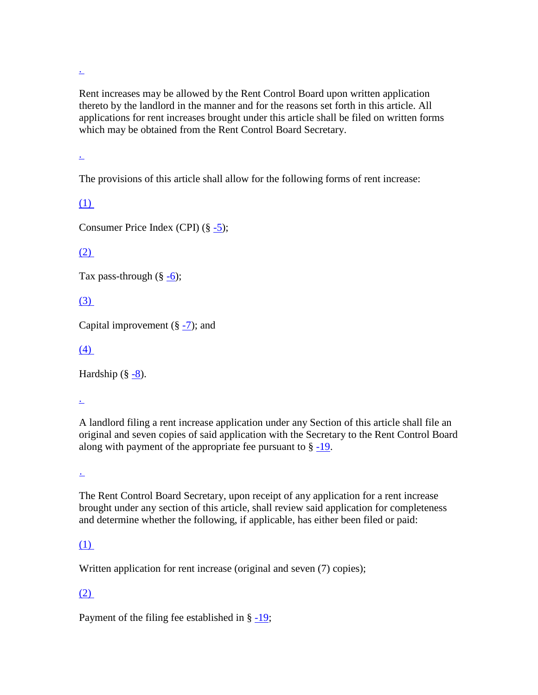[.](http://www.ecode360.com/?custId=MA0373&guid=13765717&j=23)

Rent increases may be allowed by the Rent Control Board upon written application thereto by the landlord in the manner and for the reasons set forth in this article. All applications for rent increases brought under this article shall be filed on written forms which may be obtained from the Rent Control Board Secretary.

[.](http://www.ecode360.com/?custId=MA0373&guid=13765718&j=23)

The provisions of this article shall allow for the following forms of rent increase:

[\(1\)](http://www.ecode360.com/?custId=MA0373&guid=13765719&j=23)

Consumer Price Index (CPI)  $(\S - 5)$ ;

# [\(2\)](http://www.ecode360.com/?custId=MA0373&guid=13765720&j=23)

Tax pass-through  $(\S -6)$  $(\S -6)$ ;

# [\(3\)](http://www.ecode360.com/?custId=MA0373&guid=13765721&j=23)

Capital improvement  $(\S -7)$  $(\S -7)$ ; and

# [\(4\)](http://www.ecode360.com/?custId=MA0373&guid=13765722&j=23)

Hardship  $(\S - 8)$ .

[.](http://www.ecode360.com/?custId=MA0373&guid=13765723&j=23)

A landlord filing a rent increase application under any Section of this article shall file an original and seven copies of said application with the Secretary to the Rent Control Board along with payment of the appropriate fee pursuant to § [-19.](http://www.ecode360.com/?custId=MA0373&guid=13765777)

[.](http://www.ecode360.com/?custId=MA0373&guid=13765724&j=23)

The Rent Control Board Secretary, upon receipt of any application for a rent increase brought under any section of this article, shall review said application for completeness and determine whether the following, if applicable, has either been filed or paid:

# [\(1\)](http://www.ecode360.com/?custId=MA0373&guid=13765725&j=23)

Written application for rent increase (original and seven (7) copies);

# [\(2\)](http://www.ecode360.com/?custId=MA0373&guid=13765726&j=23)

Payment of the filing fee established in  $\S -19$ ;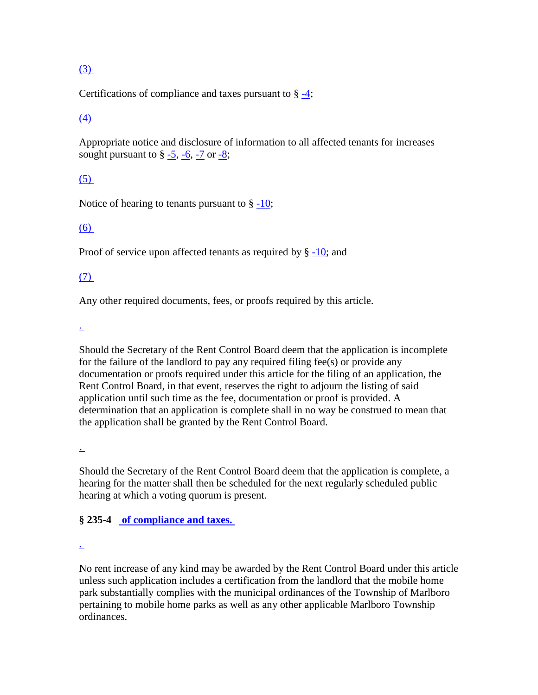# [\(3\)](http://www.ecode360.com/?custId=MA0373&guid=13765727&j=23)

Certifications of compliance and taxes pursuant to  $\S = 4$ ;

## [\(4\)](http://www.ecode360.com/?custId=MA0373&guid=13765728&j=23)

Appropriate notice and disclosure of information to all affected tenants for increases sought pursuant to  $\frac{6}{9}$  [-5,](http://www.ecode360.com/?custId=MA0373&guid=12879729) [-6,](http://www.ecode360.com/?custId=MA0373&guid=12879738) [-7](http://www.ecode360.com/?custId=MA0373&guid=12879741) or [-8;](http://www.ecode360.com/?custId=MA0373&guid=12879742)

## [\(5\)](http://www.ecode360.com/?custId=MA0373&guid=13765729&j=23)

Notice of hearing to tenants pursuant to  $\S -10$ ;

## [\(6\)](http://www.ecode360.com/?custId=MA0373&guid=13765730&j=23)

Proof of service upon affected tenants as required by § [-10;](http://www.ecode360.com/?custId=MA0373&guid=12879746) and

# [\(7\)](http://www.ecode360.com/?custId=MA0373&guid=13765731&j=23)

Any other required documents, fees, or proofs required by this article.

[.](http://www.ecode360.com/?custId=MA0373&guid=13765732&j=23)

Should the Secretary of the Rent Control Board deem that the application is incomplete for the failure of the landlord to pay any required filing fee(s) or provide any documentation or proofs required under this article for the filing of an application, the Rent Control Board, in that event, reserves the right to adjourn the listing of said application until such time as the fee, documentation or proof is provided. A determination that an application is complete shall in no way be construed to mean that the application shall be granted by the Rent Control Board.

[.](http://www.ecode360.com/?custId=MA0373&guid=13765733&j=23)

Should the Secretary of the Rent Control Board deem that the application is complete, a hearing for the matter shall then be scheduled for the next regularly scheduled public hearing at which a voting quorum is present.

# **§ 235-4 [of compliance and taxes.](http://www.ecode360.com/?custId=MA0373&guid=12879715&j=13)**

[.](http://www.ecode360.com/?custId=MA0373&guid=12879716&j=23)

No rent increase of any kind may be awarded by the Rent Control Board under this article unless such application includes a certification from the landlord that the mobile home park substantially complies with the municipal ordinances of the Township of Marlboro pertaining to mobile home parks as well as any other applicable Marlboro Township ordinances.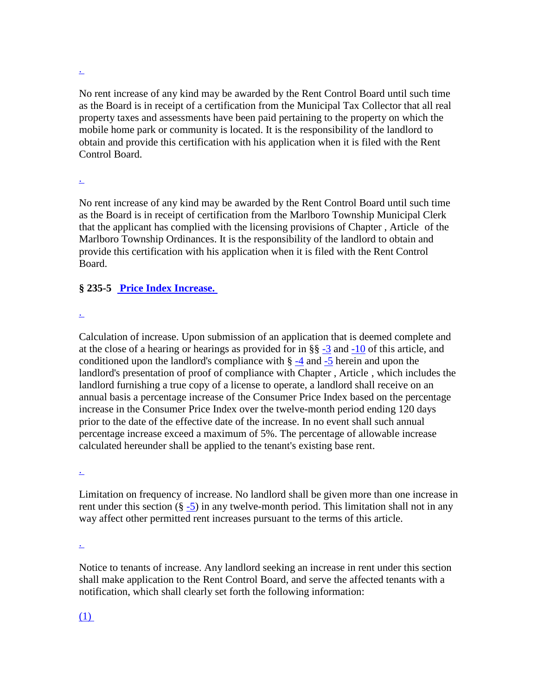[.](http://www.ecode360.com/?custId=MA0373&guid=12879717&j=23)

No rent increase of any kind may be awarded by the Rent Control Board until such time as the Board is in receipt of a certification from the Municipal Tax Collector that all real property taxes and assessments have been paid pertaining to the property on which the mobile home park or community is located. It is the responsibility of the landlord to obtain and provide this certification with his application when it is filed with the Rent Control Board.

#### [.](http://www.ecode360.com/?custId=MA0373&guid=12879718&j=23)

No rent increase of any kind may be awarded by the Rent Control Board until such time as the Board is in receipt of certification from the Marlboro Township Municipal Clerk that the applicant has complied with the licensing provisions of Chapter [,](http://www.ecode360.com/?custId=MA0373&guid=12879694) Articleof the Marlboro Township Ordinances. It is the responsibility of the landlord to obtain and provide this certification with his application when it is filed with the Rent Control Board.

## **§ 235-5 [Price Index Increase.](http://www.ecode360.com/?custId=MA0373&guid=12879729&j=13)**

[.](http://www.ecode360.com/?custId=MA0373&guid=12879730&j=23)

Calculation of increase. Upon submission of an application that is deemed complete and at the close of a hearing or hearings as provided for in §§ [-3](http://www.ecode360.com/?custId=MA0373&guid=12879714) and [-10](http://www.ecode360.com/?custId=MA0373&guid=12879746) of this article, and conditioned upon the landlord's compliance with  $\S -4$  $\S -4$  and  $-5$  herein and upon the landlord's presentation of proof of compliance with Chapter [,](http://www.ecode360.com/?custId=MA0373&guid=12879694) Article [,](http://www.ecode360.com/?custId=MA0373&guid=12879771) which includes the landlord furnishing a true copy of a license to operate, a landlord shall receive on an annual basis a percentage increase of the Consumer Price Index based on the percentage increase in the Consumer Price Index over the twelve-month period ending 120 days prior to the date of the effective date of the increase. In no event shall such annual percentage increase exceed a maximum of 5%. The percentage of allowable increase calculated hereunder shall be applied to the tenant's existing base rent.

[.](http://www.ecode360.com/?custId=MA0373&guid=12879731&j=23)

Limitation on frequency of increase. No landlord shall be given more than one increase in rent under this section  $(\S - 5)$  in any twelve-month period. This limitation shall not in any way affect other permitted rent increases pursuant to the terms of this article.

[.](http://www.ecode360.com/?custId=MA0373&guid=12879736&j=23)

Notice to tenants of increase. Any landlord seeking an increase in rent under this section shall make application to the Rent Control Board, and serve the affected tenants with a notification, which shall clearly set forth the following information:

# [\(1\)](http://www.ecode360.com/?custId=MA0373&guid=13765734&j=23)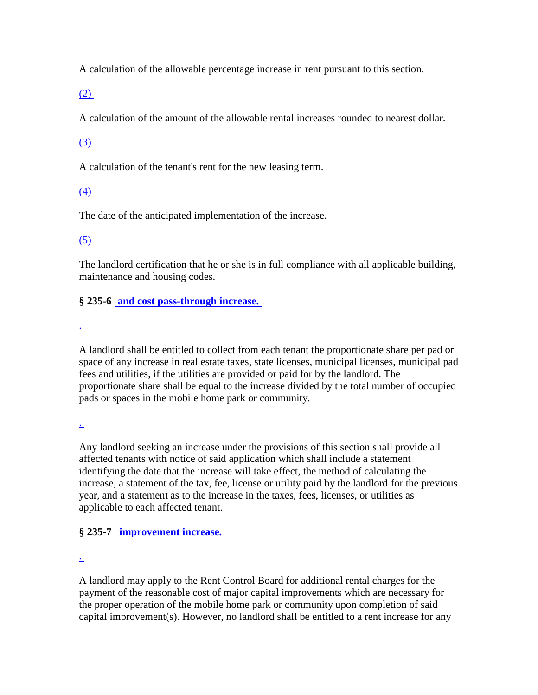A calculation of the allowable percentage increase in rent pursuant to this section.

[\(2\)](http://www.ecode360.com/?custId=MA0373&guid=13765735&j=23)

A calculation of the amount of the allowable rental increases rounded to nearest dollar.

# [\(3\)](http://www.ecode360.com/?custId=MA0373&guid=13765736&j=23)

A calculation of the tenant's rent for the new leasing term.

# [\(4\)](http://www.ecode360.com/?custId=MA0373&guid=13765737&j=23)

The date of the anticipated implementation of the increase.

## [\(5\)](http://www.ecode360.com/?custId=MA0373&guid=13765738&j=23)

The landlord certification that he or she is in full compliance with all applicable building, maintenance and housing codes.

**§ 235-6 [and cost pass-through increase.](http://www.ecode360.com/?custId=MA0373&guid=12879738&j=13)**

[.](http://www.ecode360.com/?custId=MA0373&guid=12879739&j=23)

A landlord shall be entitled to collect from each tenant the proportionate share per pad or space of any increase in real estate taxes, state licenses, municipal licenses, municipal pad fees and utilities, if the utilities are provided or paid for by the landlord. The proportionate share shall be equal to the increase divided by the total number of occupied pads or spaces in the mobile home park or community.

[.](http://www.ecode360.com/?custId=MA0373&guid=12879740&j=23)

Any landlord seeking an increase under the provisions of this section shall provide all affected tenants with notice of said application which shall include a statement identifying the date that the increase will take effect, the method of calculating the increase, a statement of the tax, fee, license or utility paid by the landlord for the previous year, and a statement as to the increase in the taxes, fees, licenses, or utilities as applicable to each affected tenant.

# **§ 235-7 [improvement increase.](http://www.ecode360.com/?custId=MA0373&guid=12879741&j=13)**

[.](http://www.ecode360.com/?custId=MA0373&guid=13765739&j=23)

A landlord may apply to the Rent Control Board for additional rental charges for the payment of the reasonable cost of major capital improvements which are necessary for the proper operation of the mobile home park or community upon completion of said capital improvement(s). However, no landlord shall be entitled to a rent increase for any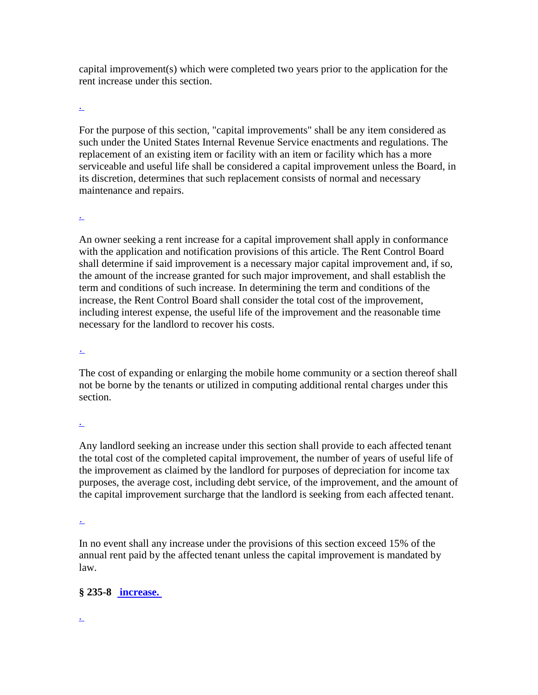capital improvement(s) which were completed two years prior to the application for the rent increase under this section.

[.](http://www.ecode360.com/?custId=MA0373&guid=13765740&j=23)

For the purpose of this section, "capital improvements" shall be any item considered as such under the United States Internal Revenue Service enactments and regulations. The replacement of an existing item or facility with an item or facility which has a more serviceable and useful life shall be considered a capital improvement unless the Board, in its discretion, determines that such replacement consists of normal and necessary maintenance and repairs.

[.](http://www.ecode360.com/?custId=MA0373&guid=13765741&j=23)

An owner seeking a rent increase for a capital improvement shall apply in conformance with the application and notification provisions of this article. The Rent Control Board shall determine if said improvement is a necessary major capital improvement and, if so, the amount of the increase granted for such major improvement, and shall establish the term and conditions of such increase. In determining the term and conditions of the increase, the Rent Control Board shall consider the total cost of the improvement, including interest expense, the useful life of the improvement and the reasonable time necessary for the landlord to recover his costs.

[.](http://www.ecode360.com/?custId=MA0373&guid=13765742&j=23)

The cost of expanding or enlarging the mobile home community or a section thereof shall not be borne by the tenants or utilized in computing additional rental charges under this section.

[.](http://www.ecode360.com/?custId=MA0373&guid=13765743&j=23)

Any landlord seeking an increase under this section shall provide to each affected tenant the total cost of the completed capital improvement, the number of years of useful life of the improvement as claimed by the landlord for purposes of depreciation for income tax purposes, the average cost, including debt service, of the improvement, and the amount of the capital improvement surcharge that the landlord is seeking from each affected tenant.

[.](http://www.ecode360.com/?custId=MA0373&guid=13765744&j=23)

In no event shall any increase under the provisions of this section exceed 15% of the annual rent paid by the affected tenant unless the capital improvement is mandated by law.

**§ 235-8 [increase.](http://www.ecode360.com/?custId=MA0373&guid=12879742&j=13)**

[.](http://www.ecode360.com/?custId=MA0373&guid=12879743&j=23)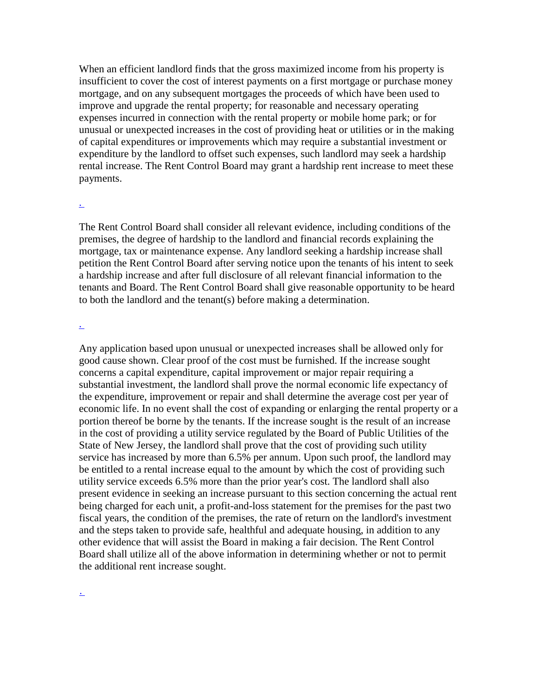When an efficient landlord finds that the gross maximized income from his property is insufficient to cover the cost of interest payments on a first mortgage or purchase money mortgage, and on any subsequent mortgages the proceeds of which have been used to improve and upgrade the rental property; for reasonable and necessary operating expenses incurred in connection with the rental property or mobile home park; or for unusual or unexpected increases in the cost of providing heat or utilities or in the making of capital expenditures or improvements which may require a substantial investment or expenditure by the landlord to offset such expenses, such landlord may seek a hardship rental increase. The Rent Control Board may grant a hardship rent increase to meet these payments.

#### [.](http://www.ecode360.com/?custId=MA0373&guid=12879744&j=23)

The Rent Control Board shall consider all relevant evidence, including conditions of the premises, the degree of hardship to the landlord and financial records explaining the mortgage, tax or maintenance expense. Any landlord seeking a hardship increase shall petition the Rent Control Board after serving notice upon the tenants of his intent to seek a hardship increase and after full disclosure of all relevant financial information to the tenants and Board. The Rent Control Board shall give reasonable opportunity to be heard to both the landlord and the tenant(s) before making a determination.

#### [.](http://www.ecode360.com/?custId=MA0373&guid=13765745&j=23)

Any application based upon unusual or unexpected increases shall be allowed only for good cause shown. Clear proof of the cost must be furnished. If the increase sought concerns a capital expenditure, capital improvement or major repair requiring a substantial investment, the landlord shall prove the normal economic life expectancy of the expenditure, improvement or repair and shall determine the average cost per year of economic life. In no event shall the cost of expanding or enlarging the rental property or a portion thereof be borne by the tenants. If the increase sought is the result of an increase in the cost of providing a utility service regulated by the Board of Public Utilities of the State of New Jersey, the landlord shall prove that the cost of providing such utility service has increased by more than 6.5% per annum. Upon such proof, the landlord may be entitled to a rental increase equal to the amount by which the cost of providing such utility service exceeds 6.5% more than the prior year's cost. The landlord shall also present evidence in seeking an increase pursuant to this section concerning the actual rent being charged for each unit, a profit-and-loss statement for the premises for the past two fiscal years, the condition of the premises, the rate of return on the landlord's investment and the steps taken to provide safe, healthful and adequate housing, in addition to any other evidence that will assist the Board in making a fair decision. The Rent Control Board shall utilize all of the above information in determining whether or not to permit the additional rent increase sought.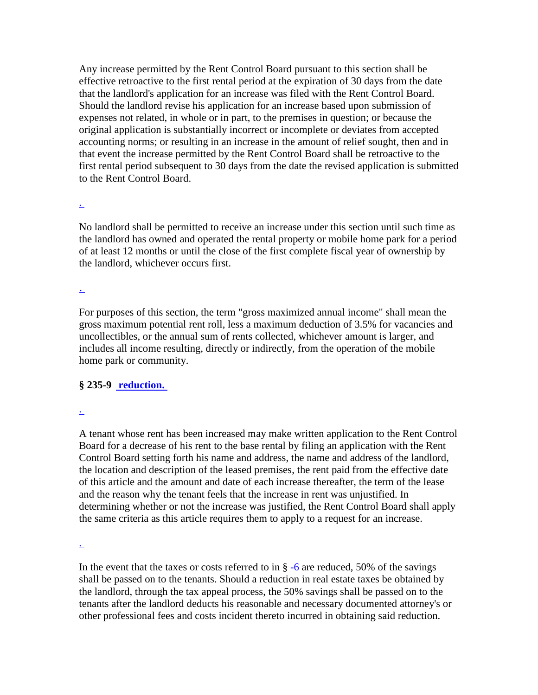Any increase permitted by the Rent Control Board pursuant to this section shall be effective retroactive to the first rental period at the expiration of 30 days from the date that the landlord's application for an increase was filed with the Rent Control Board. Should the landlord revise his application for an increase based upon submission of expenses not related, in whole or in part, to the premises in question; or because the original application is substantially incorrect or incomplete or deviates from accepted accounting norms; or resulting in an increase in the amount of relief sought, then and in that event the increase permitted by the Rent Control Board shall be retroactive to the first rental period subsequent to 30 days from the date the revised application is submitted to the Rent Control Board.

[.](http://www.ecode360.com/?custId=MA0373&guid=13765747&j=23)

No landlord shall be permitted to receive an increase under this section until such time as the landlord has owned and operated the rental property or mobile home park for a period of at least 12 months or until the close of the first complete fiscal year of ownership by the landlord, whichever occurs first.

[.](http://www.ecode360.com/?custId=MA0373&guid=13765748&j=23)

For purposes of this section, the term "gross maximized annual income" shall mean the gross maximum potential rent roll, less a maximum deduction of 3.5% for vacancies and uncollectibles, or the annual sum of rents collected, whichever amount is larger, and includes all income resulting, directly or indirectly, from the operation of the mobile home park or community.

## **§ 235-9 [reduction.](http://www.ecode360.com/?custId=MA0373&guid=12879745&j=13)**

[.](http://www.ecode360.com/?custId=MA0373&guid=13765749&j=23)

A tenant whose rent has been increased may make written application to the Rent Control Board for a decrease of his rent to the base rental by filing an application with the Rent Control Board setting forth his name and address, the name and address of the landlord, the location and description of the leased premises, the rent paid from the effective date of this article and the amount and date of each increase thereafter, the term of the lease and the reason why the tenant feels that the increase in rent was unjustified. In determining whether or not the increase was justified, the Rent Control Board shall apply the same criteria as this article requires them to apply to a request for an increase.

[.](http://www.ecode360.com/?custId=MA0373&guid=13765750&j=23)

In the event that the taxes or costs referred to in  $\S -6$  $\S -6$  are reduced, 50% of the savings shall be passed on to the tenants. Should a reduction in real estate taxes be obtained by the landlord, through the tax appeal process, the 50% savings shall be passed on to the tenants after the landlord deducts his reasonable and necessary documented attorney's or other professional fees and costs incident thereto incurred in obtaining said reduction.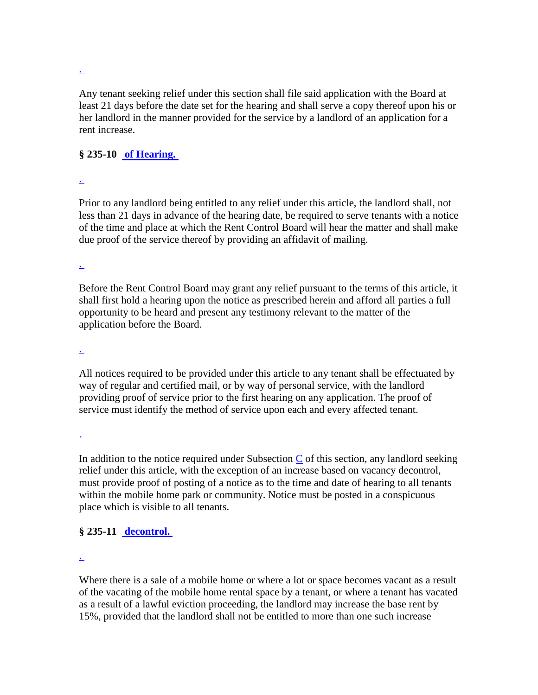[.](http://www.ecode360.com/?custId=MA0373&guid=13765751&j=23)

Any tenant seeking relief under this section shall file said application with the Board at least 21 days before the date set for the hearing and shall serve a copy thereof upon his or her landlord in the manner provided for the service by a landlord of an application for a rent increase.

## **§ 235-10 [of Hearing.](http://www.ecode360.com/?custId=MA0373&guid=12879746&j=13)**

[.](http://www.ecode360.com/?custId=MA0373&guid=13765752&j=23)

Prior to any landlord being entitled to any relief under this article, the landlord shall, not less than 21 days in advance of the hearing date, be required to serve tenants with a notice of the time and place at which the Rent Control Board will hear the matter and shall make due proof of the service thereof by providing an affidavit of mailing.

[.](http://www.ecode360.com/?custId=MA0373&guid=13765753&j=23)

Before the Rent Control Board may grant any relief pursuant to the terms of this article, it shall first hold a hearing upon the notice as prescribed herein and afford all parties a full opportunity to be heard and present any testimony relevant to the matter of the application before the Board.

[.](http://www.ecode360.com/?custId=MA0373&guid=13765754&j=23)

All notices required to be provided under this article to any tenant shall be effectuated by way of regular and certified mail, or by way of personal service, with the landlord providing proof of service prior to the first hearing on any application. The proof of service must identify the method of service upon each and every affected tenant.

[.](http://www.ecode360.com/?custId=MA0373&guid=13765755&j=23)

In addition to the notice required under Subsection  $C$  of this section, any landlord seeking relief under this article, with the exception of an increase based on vacancy decontrol, must provide proof of posting of a notice as to the time and date of hearing to all tenants within the mobile home park or community. Notice must be posted in a conspicuous place which is visible to all tenants.

# **§ 235-11 [decontrol.](http://www.ecode360.com/?custId=MA0373&guid=12879747&j=13)**

[.](http://www.ecode360.com/?custId=MA0373&guid=12879748&j=23)

Where there is a sale of a mobile home or where a lot or space becomes vacant as a result of the vacating of the mobile home rental space by a tenant, or where a tenant has vacated as a result of a lawful eviction proceeding, the landlord may increase the base rent by 15%, provided that the landlord shall not be entitled to more than one such increase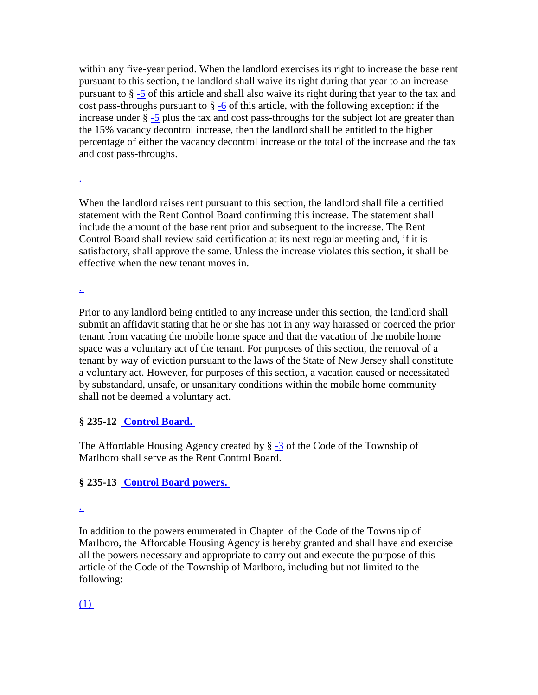within any five-year period. When the landlord exercises its right to increase the base rent pursuant to this section, the landlord shall waive its right during that year to an increase pursuant to § [-5](http://www.ecode360.com/?custId=MA0373&guid=12879729) of this article and shall also waive its right during that year to the tax and cost pass-throughs pursuant to  $\S -6$  $\S -6$  of this article, with the following exception: if the increase under § [-5](http://www.ecode360.com/?custId=MA0373&guid=12879729) plus the tax and cost pass-throughs for the subject lot are greater than the 15% vacancy decontrol increase, then the landlord shall be entitled to the higher percentage of either the vacancy decontrol increase or the total of the increase and the tax and cost pass-throughs.

#### [.](http://www.ecode360.com/?custId=MA0373&guid=13765756&j=23)

When the landlord raises rent pursuant to this section, the landlord shall file a certified statement with the Rent Control Board confirming this increase. The statement shall include the amount of the base rent prior and subsequent to the increase. The Rent Control Board shall review said certification at its next regular meeting and, if it is satisfactory, shall approve the same. Unless the increase violates this section, it shall be effective when the new tenant moves in.

[.](http://www.ecode360.com/?custId=MA0373&guid=13765757&j=23)

Prior to any landlord being entitled to any increase under this section, the landlord shall submit an affidavit stating that he or she has not in any way harassed or coerced the prior tenant from vacating the mobile home space and that the vacation of the mobile home space was a voluntary act of the tenant. For purposes of this section, the removal of a tenant by way of eviction pursuant to the laws of the State of New Jersey shall constitute a voluntary act. However, for purposes of this section, a vacation caused or necessitated by substandard, unsafe, or unsanitary conditions within the mobile home community shall not be deemed a voluntary act.

# **§ 235-12 [Control Board.](http://www.ecode360.com/?custId=MA0373&guid=12879751&j=13)**

The Affordable Housing Agency created by § [-3](http://www.ecode360.com/?custId=MA0373&guid=12873247) of the Code of the Township of Marlboro shall serve as the Rent Control Board.

# **§ 235-13 [Control Board powers.](http://www.ecode360.com/?custId=MA0373&guid=12879756&j=13)**

[.](http://www.ecode360.com/?custId=MA0373&guid=13765758&j=23)

In addition to the powers enumerated in Chapterof the Code of the Township of Marlboro, the Affordable Housing Agency is hereby granted and shall have and exercise all the powers necessary and appropriate to carry out and execute the purpose of this article of the Code of the Township of Marlboro, including but not limited to the following:

[\(1\)](http://www.ecode360.com/?custId=MA0373&guid=13765759&j=23)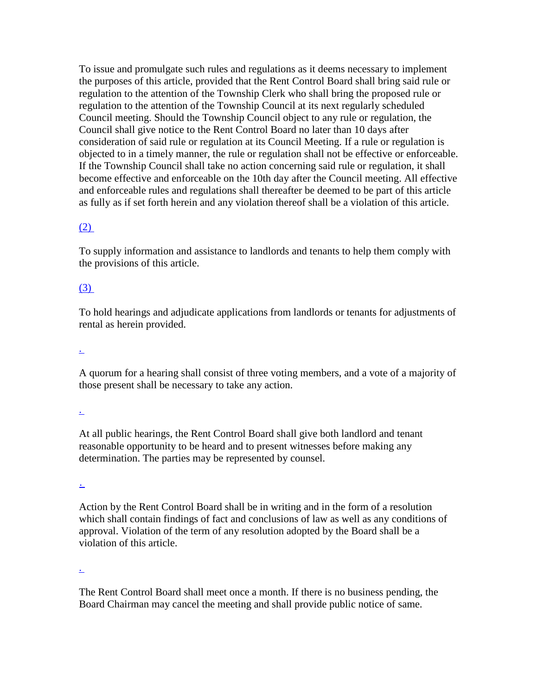To issue and promulgate such rules and regulations as it deems necessary to implement the purposes of this article, provided that the Rent Control Board shall bring said rule or regulation to the attention of the Township Clerk who shall bring the proposed rule or regulation to the attention of the Township Council at its next regularly scheduled Council meeting. Should the Township Council object to any rule or regulation, the Council shall give notice to the Rent Control Board no later than 10 days after consideration of said rule or regulation at its Council Meeting. If a rule or regulation is objected to in a timely manner, the rule or regulation shall not be effective or enforceable. If the Township Council shall take no action concerning said rule or regulation, it shall become effective and enforceable on the 10th day after the Council meeting. All effective and enforceable rules and regulations shall thereafter be deemed to be part of this article as fully as if set forth herein and any violation thereof shall be a violation of this article.

## $(2)$

To supply information and assistance to landlords and tenants to help them comply with the provisions of this article.

## [\(3\)](http://www.ecode360.com/?custId=MA0373&guid=13765761&j=23)

To hold hearings and adjudicate applications from landlords or tenants for adjustments of rental as herein provided.

[.](http://www.ecode360.com/?custId=MA0373&guid=13765762&j=23)

A quorum for a hearing shall consist of three voting members, and a vote of a majority of those present shall be necessary to take any action.

[.](http://www.ecode360.com/?custId=MA0373&guid=13765763&j=23)

At all public hearings, the Rent Control Board shall give both landlord and tenant reasonable opportunity to be heard and to present witnesses before making any determination. The parties may be represented by counsel.

[.](http://www.ecode360.com/?custId=MA0373&guid=13765764&j=23)

Action by the Rent Control Board shall be in writing and in the form of a resolution which shall contain findings of fact and conclusions of law as well as any conditions of approval. Violation of the term of any resolution adopted by the Board shall be a violation of this article.

[.](http://www.ecode360.com/?custId=MA0373&guid=13765765&j=23)

The Rent Control Board shall meet once a month. If there is no business pending, the Board Chairman may cancel the meeting and shall provide public notice of same.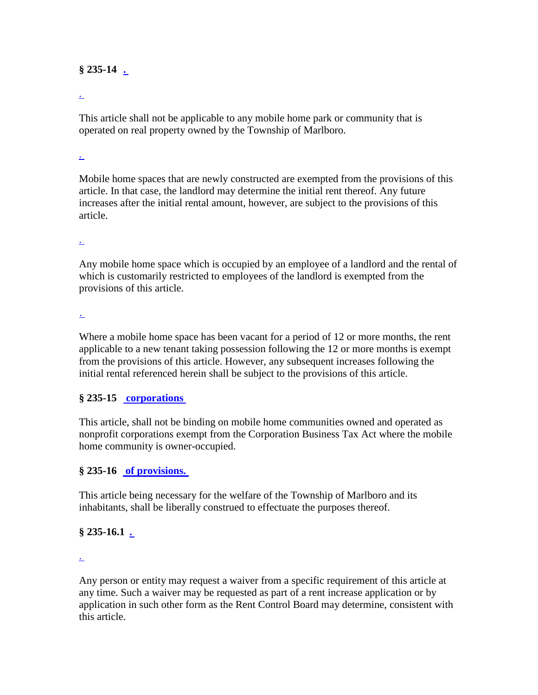## **§ 235-14 [.](http://www.ecode360.com/?custId=MA0373&guid=12879757&j=13)**

#### [.](http://www.ecode360.com/?custId=MA0373&guid=13765766&j=23)

This article shall not be applicable to any mobile home park or community that is operated on real property owned by the Township of Marlboro.

#### [.](http://www.ecode360.com/?custId=MA0373&guid=13765767&j=23)

Mobile home spaces that are newly constructed are exempted from the provisions of this article. In that case, the landlord may determine the initial rent thereof. Any future increases after the initial rental amount, however, are subject to the provisions of this article.

#### [.](http://www.ecode360.com/?custId=MA0373&guid=13765768&j=23)

Any mobile home space which is occupied by an employee of a landlord and the rental of which is customarily restricted to employees of the landlord is exempted from the provisions of this article.

[.](http://www.ecode360.com/?custId=MA0373&guid=13765769&j=23)

Where a mobile home space has been vacant for a period of 12 or more months, the rent applicable to a new tenant taking possession following the 12 or more months is exempt from the provisions of this article. However, any subsequent increases following the initial rental referenced herein shall be subject to the provisions of this article.

## **§ 235-15 [corporations](http://www.ecode360.com/?custId=MA0373&guid=12879758&j=13)**

This article, shall not be binding on mobile home communities owned and operated as nonprofit corporations exempt from the Corporation Business Tax Act where the mobile home community is owner-occupied.

## **§ 235-16 [of provisions.](http://www.ecode360.com/?custId=MA0373&guid=12879767&j=13)**

This article being necessary for the welfare of the Township of Marlboro and its inhabitants, shall be liberally construed to effectuate the purposes thereof.

## **§ 235-16.1 [.](http://www.ecode360.com/?custId=MA0373&guid=12879768&j=13)**

[.](http://www.ecode360.com/?custId=MA0373&guid=13765770&j=23)

Any person or entity may request a waiver from a specific requirement of this article at any time. Such a waiver may be requested as part of a rent increase application or by application in such other form as the Rent Control Board may determine, consistent with this article.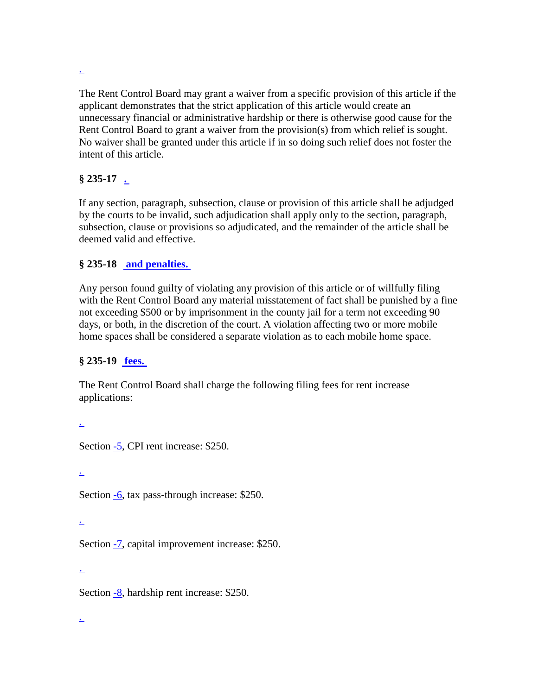[.](http://www.ecode360.com/?custId=MA0373&guid=13765771&j=23)

The Rent Control Board may grant a waiver from a specific provision of this article if the applicant demonstrates that the strict application of this article would create an unnecessary financial or administrative hardship or there is otherwise good cause for the Rent Control Board to grant a waiver from the provision(s) from which relief is sought. No waiver shall be granted under this article if in so doing such relief does not foster the intent of this article.

# **§ 235-17 [.](http://www.ecode360.com/?custId=MA0373&guid=12879769&j=13)**

If any section, paragraph, subsection, clause or provision of this article shall be adjudged by the courts to be invalid, such adjudication shall apply only to the section, paragraph, subsection, clause or provisions so adjudicated, and the remainder of the article shall be deemed valid and effective.

# **§ 235-18 [and penalties.](http://www.ecode360.com/?custId=MA0373&guid=12879770&j=13)**

Any person found guilty of violating any provision of this article or of willfully filing with the Rent Control Board any material misstatement of fact shall be punished by a fine not exceeding \$500 or by imprisonment in the county jail for a term not exceeding 90 days, or both, in the discretion of the court. A violation affecting two or more mobile home spaces shall be considered a separate violation as to each mobile home space.

# **§ 235-19 [fees.](http://www.ecode360.com/?custId=MA0373&guid=13765777&j=13)**

The Rent Control Board shall charge the following filing fees for rent increase applications:

[.](http://www.ecode360.com/?custId=MA0373&guid=13765772&j=23) Section [-5,](http://www.ecode360.com/?custId=MA0373&guid=12879729) CPI rent increase: \$250. [.](http://www.ecode360.com/?custId=MA0373&guid=13765773&j=23) Section [-6,](http://www.ecode360.com/?custId=MA0373&guid=12879738) tax pass-through increase: \$250. [.](http://www.ecode360.com/?custId=MA0373&guid=13765774&j=23) Section [-7,](http://www.ecode360.com/?custId=MA0373&guid=12879741) capital improvement increase: \$250. [.](http://www.ecode360.com/?custId=MA0373&guid=13765775&j=23)

Section  $-8$ , hardship rent increase: \$250.

[.](http://www.ecode360.com/?custId=MA0373&guid=13765776&j=23)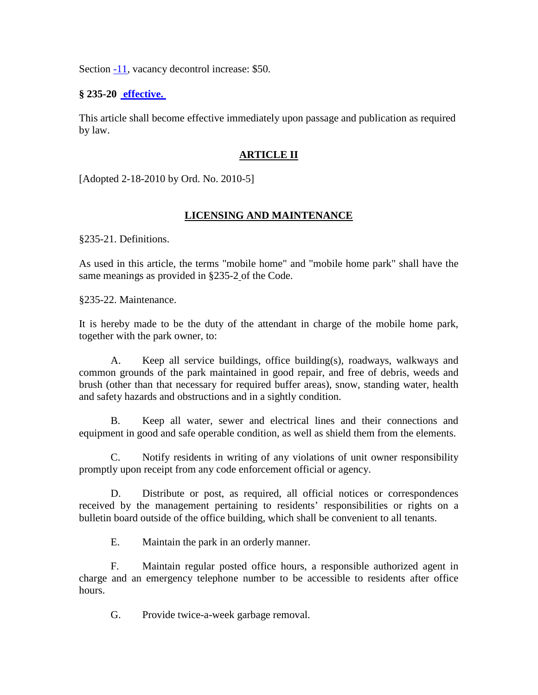Section [-11,](http://www.ecode360.com/?custId=MA0373&guid=12879747) vacancy decontrol increase: \$50.

#### **§ 235-20 [effective.](http://www.ecode360.com/?custId=MA0373&guid=13765778&j=13)**

This article shall become effective immediately upon passage and publication as required by law.

### **ARTICLE II**

[Adopted 2-18-2010 by Ord. No. 2010-5]

## **LICENSING AND MAINTENANCE**

§235-21. Definitions.

As used in this article, the terms "mobile home" and "mobile home park" shall have the same meanings as provided in §235-2 of the Code.

§235-22. Maintenance.

It is hereby made to be the duty of the attendant in charge of the mobile home park, together with the park owner, to:

A. Keep all service buildings, office building(s), roadways, walkways and common grounds of the park maintained in good repair, and free of debris, weeds and brush (other than that necessary for required buffer areas), snow, standing water, health and safety hazards and obstructions and in a sightly condition.

B. Keep all water, sewer and electrical lines and their connections and equipment in good and safe operable condition, as well as shield them from the elements.

C. Notify residents in writing of any violations of unit owner responsibility promptly upon receipt from any code enforcement official or agency.

D. Distribute or post, as required, all official notices or correspondences received by the management pertaining to residents' responsibilities or rights on a bulletin board outside of the office building, which shall be convenient to all tenants.

E. Maintain the park in an orderly manner.

F. Maintain regular posted office hours, a responsible authorized agent in charge and an emergency telephone number to be accessible to residents after office hours.

G. Provide twice-a-week garbage removal.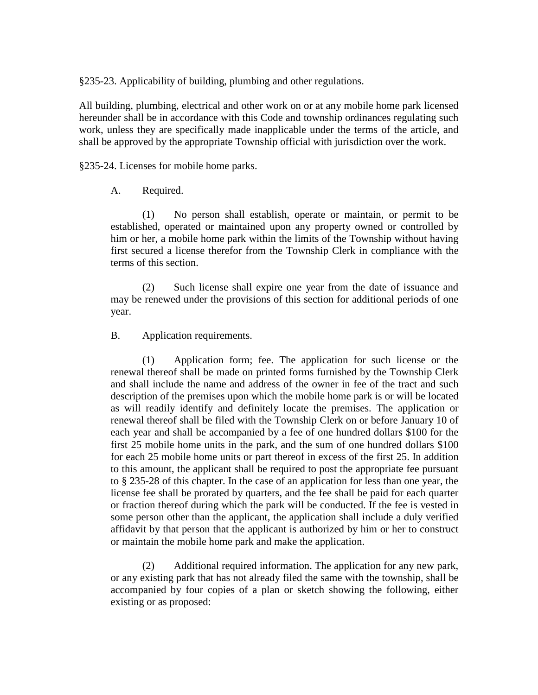§235-23. Applicability of building, plumbing and other regulations.

All building, plumbing, electrical and other work on or at any mobile home park licensed hereunder shall be in accordance with this Code and township ordinances regulating such work, unless they are specifically made inapplicable under the terms of the article, and shall be approved by the appropriate Township official with jurisdiction over the work.

§235-24. Licenses for mobile home parks.

#### A. Required.

(1) No person shall establish, operate or maintain, or permit to be established, operated or maintained upon any property owned or controlled by him or her, a mobile home park within the limits of the Township without having first secured a license therefor from the Township Clerk in compliance with the terms of this section.

(2) Such license shall expire one year from the date of issuance and may be renewed under the provisions of this section for additional periods of one year.

#### B. Application requirements.

(1) Application form; fee. The application for such license or the renewal thereof shall be made on printed forms furnished by the Township Clerk and shall include the name and address of the owner in fee of the tract and such description of the premises upon which the mobile home park is or will be located as will readily identify and definitely locate the premises. The application or renewal thereof shall be filed with the Township Clerk on or before January 10 of each year and shall be accompanied by a fee of one hundred dollars \$100 for the first 25 mobile home units in the park, and the sum of one hundred dollars \$100 for each 25 mobile home units or part thereof in excess of the first 25. In addition to this amount, the applicant shall be required to post the appropriate fee pursuant to § 235-28 of this chapter. In the case of an application for less than one year, the license fee shall be prorated by quarters, and the fee shall be paid for each quarter or fraction thereof during which the park will be conducted. If the fee is vested in some person other than the applicant, the application shall include a duly verified affidavit by that person that the applicant is authorized by him or her to construct or maintain the mobile home park and make the application.

(2) Additional required information. The application for any new park, or any existing park that has not already filed the same with the township, shall be accompanied by four copies of a plan or sketch showing the following, either existing or as proposed: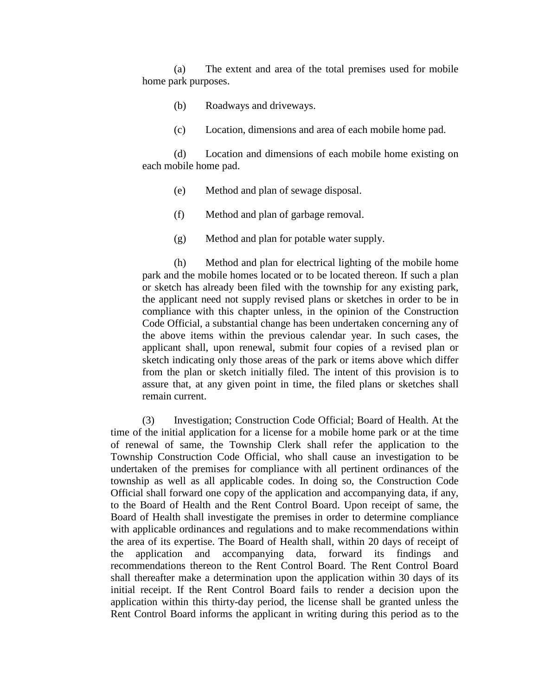(a) The extent and area of the total premises used for mobile home park purposes.

- (b) Roadways and driveways.
- (c) Location, dimensions and area of each mobile home pad.

(d) Location and dimensions of each mobile home existing on each mobile home pad.

- (e) Method and plan of sewage disposal.
- (f) Method and plan of garbage removal.
- (g) Method and plan for potable water supply.

(h) Method and plan for electrical lighting of the mobile home park and the mobile homes located or to be located thereon. If such a plan or sketch has already been filed with the township for any existing park, the applicant need not supply revised plans or sketches in order to be in compliance with this chapter unless, in the opinion of the Construction Code Official, a substantial change has been undertaken concerning any of the above items within the previous calendar year. In such cases, the applicant shall, upon renewal, submit four copies of a revised plan or sketch indicating only those areas of the park or items above which differ from the plan or sketch initially filed. The intent of this provision is to assure that, at any given point in time, the filed plans or sketches shall remain current.

(3) Investigation; Construction Code Official; Board of Health. At the time of the initial application for a license for a mobile home park or at the time of renewal of same, the Township Clerk shall refer the application to the Township Construction Code Official, who shall cause an investigation to be undertaken of the premises for compliance with all pertinent ordinances of the township as well as all applicable codes. In doing so, the Construction Code Official shall forward one copy of the application and accompanying data, if any, to the Board of Health and the Rent Control Board. Upon receipt of same, the Board of Health shall investigate the premises in order to determine compliance with applicable ordinances and regulations and to make recommendations within the area of its expertise. The Board of Health shall, within 20 days of receipt of the application and accompanying data, forward its findings and recommendations thereon to the Rent Control Board. The Rent Control Board shall thereafter make a determination upon the application within 30 days of its initial receipt. If the Rent Control Board fails to render a decision upon the application within this thirty-day period, the license shall be granted unless the Rent Control Board informs the applicant in writing during this period as to the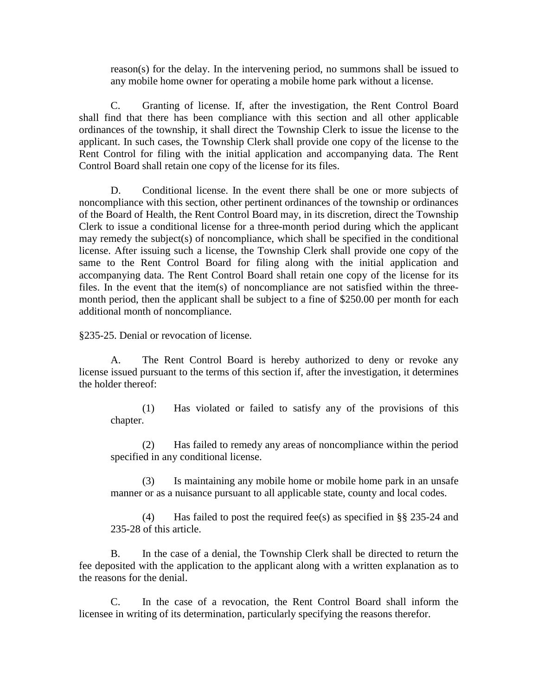reason(s) for the delay. In the intervening period, no summons shall be issued to any mobile home owner for operating a mobile home park without a license.

C. Granting of license. If, after the investigation, the Rent Control Board shall find that there has been compliance with this section and all other applicable ordinances of the township, it shall direct the Township Clerk to issue the license to the applicant. In such cases, the Township Clerk shall provide one copy of the license to the Rent Control for filing with the initial application and accompanying data. The Rent Control Board shall retain one copy of the license for its files.

D. Conditional license. In the event there shall be one or more subjects of noncompliance with this section, other pertinent ordinances of the township or ordinances of the Board of Health, the Rent Control Board may, in its discretion, direct the Township Clerk to issue a conditional license for a three-month period during which the applicant may remedy the subject(s) of noncompliance, which shall be specified in the conditional license. After issuing such a license, the Township Clerk shall provide one copy of the same to the Rent Control Board for filing along with the initial application and accompanying data. The Rent Control Board shall retain one copy of the license for its files. In the event that the item(s) of noncompliance are not satisfied within the threemonth period, then the applicant shall be subject to a fine of \$250.00 per month for each additional month of noncompliance.

§235-25. Denial or revocation of license.

A. The Rent Control Board is hereby authorized to deny or revoke any license issued pursuant to the terms of this section if, after the investigation, it determines the holder thereof:

(1) Has violated or failed to satisfy any of the provisions of this chapter.

(2) Has failed to remedy any areas of noncompliance within the period specified in any conditional license.

(3) Is maintaining any mobile home or mobile home park in an unsafe manner or as a nuisance pursuant to all applicable state, county and local codes.

(4) Has failed to post the required fee(s) as specified in §§ 235-24 and 235-28 of this article.

B. In the case of a denial, the Township Clerk shall be directed to return the fee deposited with the application to the applicant along with a written explanation as to the reasons for the denial.

C. In the case of a revocation, the Rent Control Board shall inform the licensee in writing of its determination, particularly specifying the reasons therefor.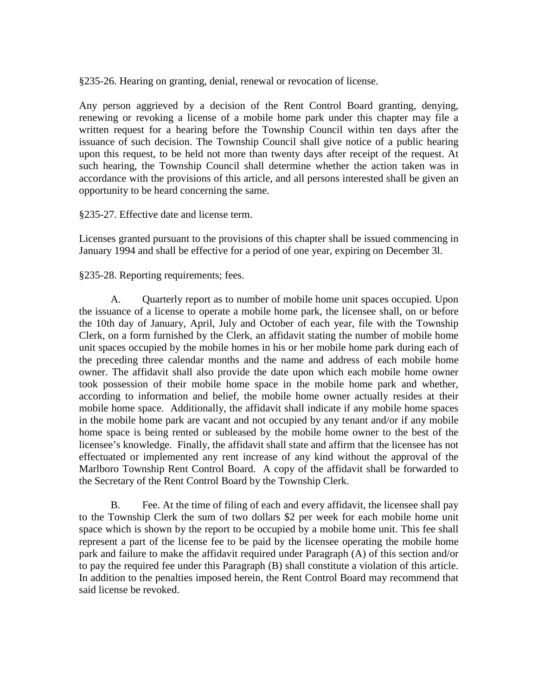§235-26. Hearing on granting, denial, renewal or revocation of license.

Any person aggrieved by a decision of the Rent Control Board granting, denying, renewing or revoking a license of a mobile home park under this chapter may file a written request for a hearing before the Township Council within ten days after the issuance of such decision. The Township Council shall give notice of a public hearing upon this request, to be held not more than twenty days after receipt of the request. At such hearing, the Township Council shall determine whether the action taken was in accordance with the provisions of this article, and all persons interested shall be given an opportunity to be heard concerning the same.

#### §235-27. Effective date and license term.

Licenses granted pursuant to the provisions of this chapter shall be issued commencing in January 1994 and shall be effective for a period of one year, expiring on December 3l.

#### §235-28. Reporting requirements; fees.

A. Quarterly report as to number of mobile home unit spaces occupied. Upon the issuance of a license to operate a mobile home park, the licensee shall, on or before the 10th day of January, April, July and October of each year, file with the Township Clerk, on a form furnished by the Clerk, an affidavit stating the number of mobile home unit spaces occupied by the mobile homes in his or her mobile home park during each of the preceding three calendar months and the name and address of each mobile home owner. The affidavit shall also provide the date upon which each mobile home owner took possession of their mobile home space in the mobile home park and whether, according to information and belief, the mobile home owner actually resides at their mobile home space. Additionally, the affidavit shall indicate if any mobile home spaces in the mobile home park are vacant and not occupied by any tenant and/or if any mobile home space is being rented or subleased by the mobile home owner to the best of the licensee's knowledge. Finally, the affidavit shall state and affirm that the licensee has not effectuated or implemented any rent increase of any kind without the approval of the Marlboro Township Rent Control Board. A copy of the affidavit shall be forwarded to the Secretary of the Rent Control Board by the Township Clerk.

B. Fee. At the time of filing of each and every affidavit, the licensee shall pay to the Township Clerk the sum of two dollars \$2 per week for each mobile home unit space which is shown by the report to be occupied by a mobile home unit. This fee shall represent a part of the license fee to be paid by the licensee operating the mobile home park and failure to make the affidavit required under Paragraph (A) of this section and/or to pay the required fee under this Paragraph (B) shall constitute a violation of this article. In addition to the penalties imposed herein, the Rent Control Board may recommend that said license be revoked.